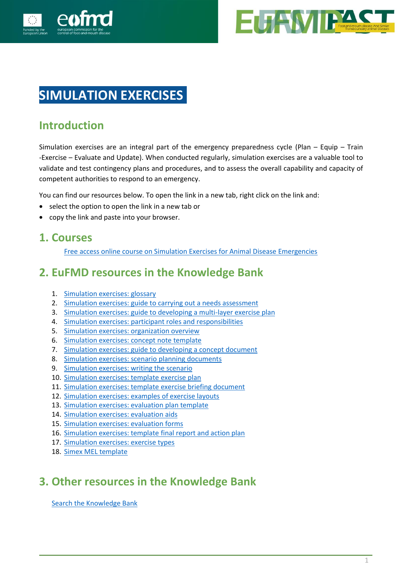



# **SIMULATION EXERCISES.**

#### **Introduction**

Simulation exercises are an integral part of the emergency preparedness cycle (Plan – Equip – Train -Exercise – Evaluate and Update). When conducted regularly, simulation exercises are a valuable tool to validate and test contingency plans and procedures, and to assess the overall capability and capacity of competent authorities to respond to an emergency.

You can find our resources below. To open the link in a new tab, right click on the link and:

- select the option to open the link in a new tab or
- copy the link and paste into your browser.

#### **1. Courses**

[Free access online course on Simulation Exercises for Animal Disease Emergencies](https://eufmdlearning.works/enrol/index.php?id=264)

### **2. EuFMD resources in the Knowledge Bank**

- 1. [Simulation exercises: glossary](https://eufmdlearning.works/mod/page/view.php?id=16864)
- 2. [Simulation exercises: guide to carrying out a needs assessment](https://eufmdlearning.works/mod/page/view.php?id=16865)
- 3. [Simulation exercises: guide to developing a multi-layer exercise plan](https://eufmdlearning.works/mod/page/view.php?id=16866)
- 4. [Simulation exercises: participant roles and responsibilities](https://eufmdlearning.works/mod/page/view.php?id=16867)
- 5. [Simulation exercises: organization overview](https://eufmdlearning.works/mod/page/view.php?id=16868)
- 6. [Simulation exercises: concept note template](https://eufmdlearning.works/mod/page/view.php?id=16869)
- 7. [Simulation exercises: guide to developing a concept document](https://eufmdlearning.works/mod/page/view.php?id=16870)
- 8. [Simulation exercises: scenario planning documents](https://eufmdlearning.works/mod/page/view.php?id=16871)
- 9. [Simulation exercises: writing the scenario](https://eufmdlearning.works/mod/page/view.php?id=16872)
- 10. [Simulation exercises: template exercise plan](https://eufmdlearning.works/mod/page/view.php?id=16873)
- 11. [Simulation exercises: template exercise briefing document](https://eufmdlearning.works/mod/page/view.php?id=16874)
- 12. [Simulation exercises: examples of exercise layouts](https://eufmdlearning.works/mod/page/view.php?id=16875)
- 13. [Simulation exercises: evaluation plan template](https://eufmdlearning.works/mod/page/view.php?id=16876)
- 14. [Simulation exercises: evaluation aids](https://eufmdlearning.works/mod/page/view.php?id=16884)
- 15. [Simulation exercises: evaluation forms](https://eufmdlearning.works/pluginfile.php/76057/mod_page/content/1/16.Simex%20evaluation%20forms%20R1%20161120.pdf)
- 16. [Simulation exercises: template final report and action plan](https://eufmdlearning.works/mod/page/view.php?id=16886)
- 17. [Simulation exercises: exercise types](https://eufmdlearning.works/mod/page/view.php?id=16887)
- 18. [Simex MEL template](https://eufmdlearning.works/mod/page/view.php?id=16888)

### **3. Other resources in the Knowledge Bank**

[Search the Knowledge Bank](http://www.fao.org/eufmd/resources/knowledge-bank/advanced-search/en/)